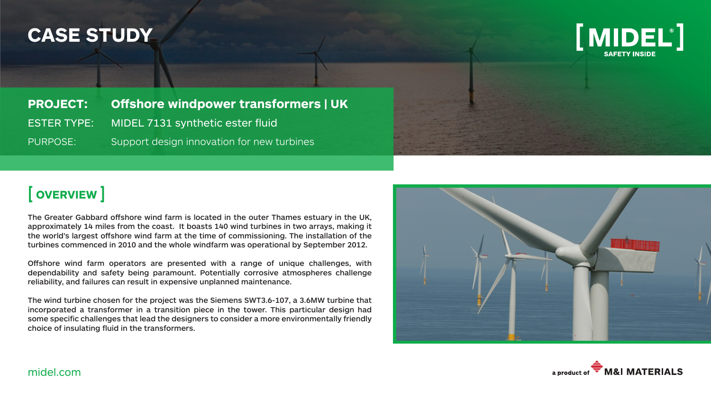## **CASE STUDY**



**PROJECT: Offshore windpower transformers | UK** ESTER TYPE: MIDEL 7131 synthetic ester fluid PURPOSE: Support design innovation for new turbines

### [ **OVERVIEW** ]

The Greater Gabbard offshore wind farm is located in the outer Thames estuary in the UK, approximately 14 miles from the coast. It boasts 140 wind turbines in two arrays, making it the world's largest offshore wind farm at the time of commissioning. The installation of the turbines commenced in 2010 and the whole windfarm was operational by September 2012.

Offshore wind farm operators are presented with a range of unique challenges, with dependability and safety being paramount. Potentially corrosive atmospheres challenge reliability, and failures can result in expensive unplanned maintenance.

The wind turbine chosen for the project was the Siemens SWT3.6-107, a 3.6MW turbine that incorporated a transformer in a transition piece in the tower. This particular design had some specific challenges that lead the designers to consider a more environmentally friendly choice of insulating fluid in the transformers.